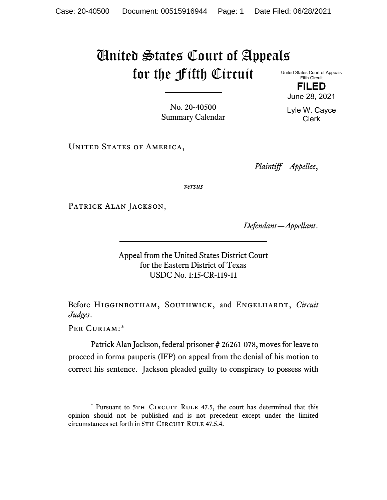## United States Court of Appeals for the Fifth Circuit

United States Court of Appeals Fifth Circuit **FILED**

June 28, 2021

Lyle W. Cayce Clerk

No. 20-40500 Summary Calendar

UNITED STATES OF AMERICA,

*Plaintiff—Appellee*,

*versus*

PATRICK ALAN JACKSON,

*Defendant—Appellant*.

Appeal from the United States District Court for the Eastern District of Texas USDC No. 1:15-CR-119-11

Before HIGGINBOTHAM, SOUTHWICK, and ENGELHARDT, *Circuit Judges*.

Per Curiam:[\\*](#page-0-0)

Patrick Alan Jackson, federal prisoner # 26261-078, moves for leave to proceed in forma pauperis (IFP) on appeal from the denial of his motion to correct his sentence. Jackson pleaded guilty to conspiracy to possess with

<span id="page-0-0"></span><sup>\*</sup> Pursuant to 5TH CIRCUIT RULE 47.5, the court has determined that this opinion should not be published and is not precedent except under the limited circumstances set forth in 5TH CIRCUIT RULE 47.5.4.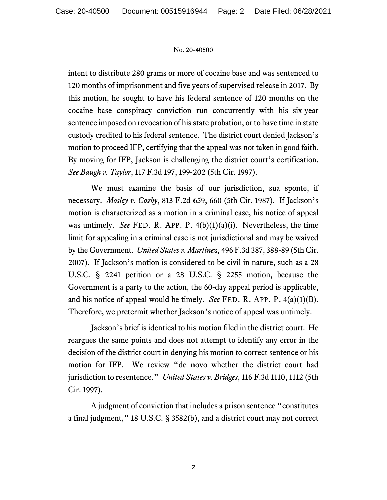## No. 20-40500

intent to distribute 280 grams or more of cocaine base and was sentenced to 120 months of imprisonment and five years of supervised release in 2017. By this motion, he sought to have his federal sentence of 120 months on the cocaine base conspiracy conviction run concurrently with his six-year sentence imposed on revocation of his state probation, or to have time in state custody credited to his federal sentence. The district court denied Jackson's motion to proceed IFP, certifying that the appeal was not taken in good faith. By moving for IFP, Jackson is challenging the district court's certification. *See Baugh v. Taylor*, 117 F.3d 197, 199-202 (5th Cir. 1997).

We must examine the basis of our jurisdiction, sua sponte, if necessary. *Mosley v. Cozby*, 813 F.2d 659, 660 (5th Cir. 1987). If Jackson's motion is characterized as a motion in a criminal case, his notice of appeal was untimely. *See* FED. R. APP. P. 4(b)(1)(a)(i). Nevertheless, the time limit for appealing in a criminal case is not jurisdictional and may be waived by the Government. *United States v. Martinez*, 496 F.3d 387, 388-89 (5th Cir. 2007). If Jackson's motion is considered to be civil in nature, such as a 28 U.S.C. § 2241 petition or a 28 U.S.C. § 2255 motion, because the Government is a party to the action, the 60-day appeal period is applicable, and his notice of appeal would be timely. *See* FED. R. APP. P. 4(a)(1)(B). Therefore, we pretermit whether Jackson's notice of appeal was untimely.

Jackson's brief is identical to his motion filed in the district court. He reargues the same points and does not attempt to identify any error in the decision of the district court in denying his motion to correct sentence or his motion for IFP. We review "de novo whether the district court had jurisdiction to resentence." *United States v. Bridges*, 116 F.3d 1110, 1112 (5th Cir. 1997).

A judgment of conviction that includes a prison sentence "constitutes a final judgment," 18 U.S.C. § 3582(b), and a district court may not correct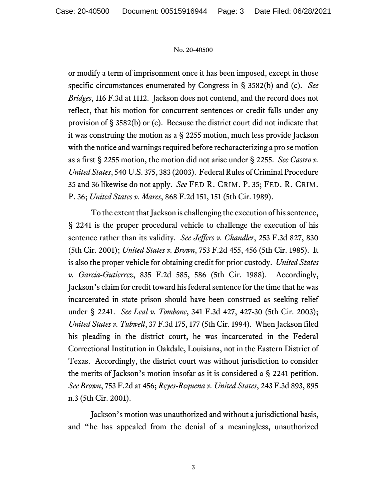## No. 20-40500

or modify a term of imprisonment once it has been imposed, except in those specific circumstances enumerated by Congress in § 3582(b) and (c). *See Bridges*, 116 F.3d at 1112. Jackson does not contend, and the record does not reflect, that his motion for concurrent sentences or credit falls under any provision of § 3582(b) or (c). Because the district court did not indicate that it was construing the motion as a § 2255 motion, much less provide Jackson with the notice and warnings required before recharacterizing a pro se motion as a first § 2255 motion, the motion did not arise under § 2255. *See Castro v. United States*, 540 U.S. 375, 383 (2003). Federal Rules of Criminal Procedure 35 and 36 likewise do not apply. *See* FED R. CRIM. P. 35; FED. R. CRIM. P. 36; *United States v. Mares*, 868 F.2d 151, 151 (5th Cir. 1989).

To the extent that Jackson is challenging the execution of his sentence, § 2241 is the proper procedural vehicle to challenge the execution of his sentence rather than its validity. *See Jeffers v. Chandler*, 253 F.3d 827, 830 (5th Cir. 2001); *United States v. Brown*, 753 F.2d 455, 456 (5th Cir. 1985). It is also the proper vehicle for obtaining credit for prior custody. *United States v. Garcia-Gutierrez*, 835 F.2d 585, 586 (5th Cir. 1988). Accordingly, Jackson's claim for credit toward his federal sentence for the time that he was incarcerated in state prison should have been construed as seeking relief under § 2241. *See Leal v. Tombone*, 341 F.3d 427, 427-30 (5th Cir. 2003); *United States v. Tubwell*, 37 F.3d 175, 177 (5th Cir. 1994). When Jackson filed his pleading in the district court, he was incarcerated in the Federal Correctional Institution in Oakdale, Louisiana, not in the Eastern District of Texas. Accordingly, the district court was without jurisdiction to consider the merits of Jackson's motion insofar as it is considered a § 2241 petition. *See Brown*, 753 F.2d at 456; *Reyes-Requena v. United States*, 243 F.3d 893, 895 n.3 (5th Cir. 2001).

Jackson's motion was unauthorized and without a jurisdictional basis, and "he has appealed from the denial of a meaningless, unauthorized